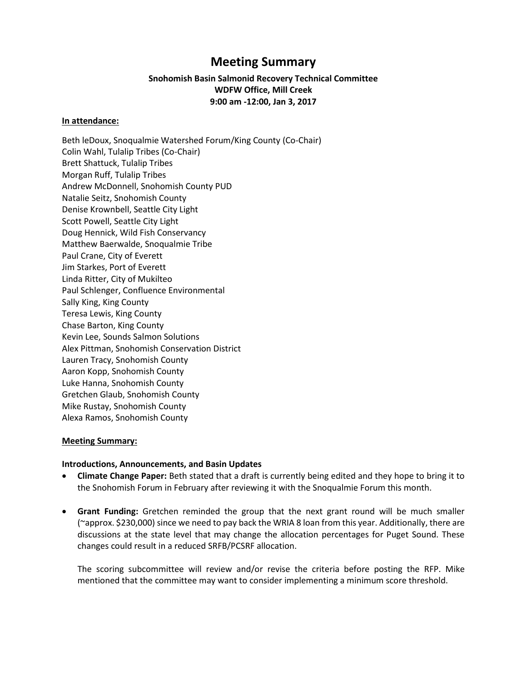# **Meeting Summary**

## **Snohomish Basin Salmonid Recovery Technical Committee WDFW Office, Mill Creek 9:00 am -12:00, Jan 3, 2017**

#### **In attendance:**

Beth leDoux, Snoqualmie Watershed Forum/King County (Co-Chair) Colin Wahl, Tulalip Tribes (Co-Chair) Brett Shattuck, Tulalip Tribes Morgan Ruff, Tulalip Tribes Andrew McDonnell, Snohomish County PUD Natalie Seitz, Snohomish County Denise Krownbell, Seattle City Light Scott Powell, Seattle City Light Doug Hennick, Wild Fish Conservancy Matthew Baerwalde, Snoqualmie Tribe Paul Crane, City of Everett Jim Starkes, Port of Everett Linda Ritter, City of Mukilteo Paul Schlenger, Confluence Environmental Sally King, King County Teresa Lewis, King County Chase Barton, King County Kevin Lee, Sounds Salmon Solutions Alex Pittman, Snohomish Conservation District Lauren Tracy, Snohomish County Aaron Kopp, Snohomish County Luke Hanna, Snohomish County Gretchen Glaub, Snohomish County Mike Rustay, Snohomish County Alexa Ramos, Snohomish County

#### **Meeting Summary:**

#### **Introductions, Announcements, and Basin Updates**

- **Climate Change Paper:** Beth stated that a draft is currently being edited and they hope to bring it to the Snohomish Forum in February after reviewing it with the Snoqualmie Forum this month.
- **Grant Funding:** Gretchen reminded the group that the next grant round will be much smaller (~approx. \$230,000) since we need to pay back the WRIA 8 loan from this year. Additionally, there are discussions at the state level that may change the allocation percentages for Puget Sound. These changes could result in a reduced SRFB/PCSRF allocation.

The scoring subcommittee will review and/or revise the criteria before posting the RFP. Mike mentioned that the committee may want to consider implementing a minimum score threshold.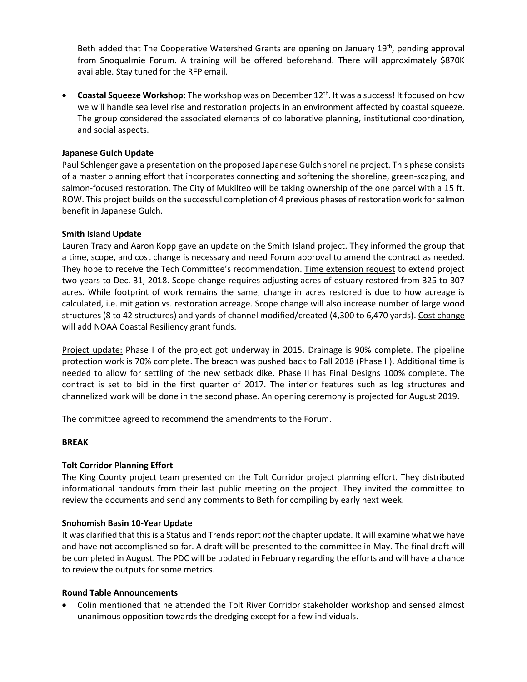Beth added that The Cooperative Watershed Grants are opening on January 19<sup>th</sup>, pending approval from Snoqualmie Forum. A training will be offered beforehand. There will approximately \$870K available. Stay tuned for the RFP email.

**Coastal Squeeze Workshop:** The workshop was on December 12<sup>th</sup>. It was a success! It focused on how we will handle sea level rise and restoration projects in an environment affected by coastal squeeze. The group considered the associated elements of collaborative planning, institutional coordination, and social aspects.

### **Japanese Gulch Update**

Paul Schlenger gave a presentation on the proposed Japanese Gulch shoreline project. This phase consists of a master planning effort that incorporates connecting and softening the shoreline, green-scaping, and salmon-focused restoration. The City of Mukilteo will be taking ownership of the one parcel with a 15 ft. ROW. This project builds on the successful completion of 4 previous phases of restoration work for salmon benefit in Japanese Gulch.

#### **Smith Island Update**

Lauren Tracy and Aaron Kopp gave an update on the Smith Island project. They informed the group that a time, scope, and cost change is necessary and need Forum approval to amend the contract as needed. They hope to receive the Tech Committee's recommendation. Time extension request to extend project two years to Dec. 31, 2018. Scope change requires adjusting acres of estuary restored from 325 to 307 acres. While footprint of work remains the same, change in acres restored is due to how acreage is calculated, i.e. mitigation vs. restoration acreage. Scope change will also increase number of large wood structures (8 to 42 structures) and yards of channel modified/created (4,300 to 6,470 yards). Cost change will add NOAA Coastal Resiliency grant funds.

Project update: Phase I of the project got underway in 2015. Drainage is 90% complete. The pipeline protection work is 70% complete. The breach was pushed back to Fall 2018 (Phase II). Additional time is needed to allow for settling of the new setback dike. Phase II has Final Designs 100% complete. The contract is set to bid in the first quarter of 2017. The interior features such as log structures and channelized work will be done in the second phase. An opening ceremony is projected for August 2019.

The committee agreed to recommend the amendments to the Forum.

#### **BREAK**

## **Tolt Corridor Planning Effort**

The King County project team presented on the Tolt Corridor project planning effort. They distributed informational handouts from their last public meeting on the project. They invited the committee to review the documents and send any comments to Beth for compiling by early next week.

#### **Snohomish Basin 10-Year Update**

It was clarified that this is a Status and Trends report *not* the chapter update. It will examine what we have and have not accomplished so far. A draft will be presented to the committee in May. The final draft will be completed in August. The PDC will be updated in February regarding the efforts and will have a chance to review the outputs for some metrics.

#### **Round Table Announcements**

 Colin mentioned that he attended the Tolt River Corridor stakeholder workshop and sensed almost unanimous opposition towards the dredging except for a few individuals.